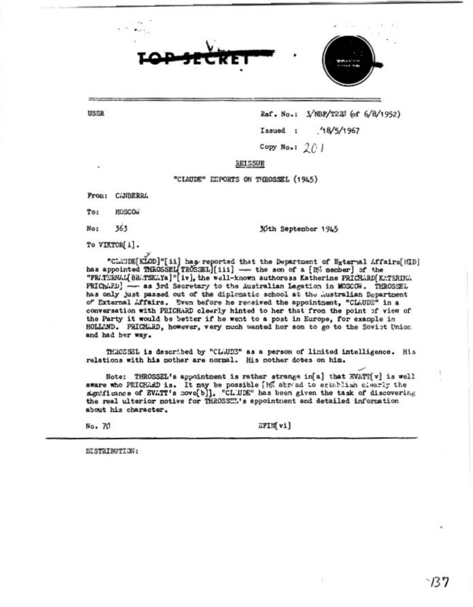



**USSR** 

## Ref. No.: 3/NBF/T222 (of 6/8/1952)

Issued :  $18/5/1967$ 

Copy No.:  $201$ 

REISSUE

"CLAUDE" LEPORTS ON THROSSEL (1945)

From: CANBERRA

To: MOSCO.

363 No:

30th September 1945

To VIKTOR[i].

"CLAUDE[KLOD]"[ii] has reported that the Department of External Affairs[HID] has appointed THROSSEL TROSSEL [iii] - the son of a [B% member] of the "FRATERNAL BRATSKAYa]" [iv], the well-known authoress Katherine PRICHARD [KATERINA PRIChAPD] - as 3rd Secretary to the Australian Legation in MOSCOW. THROSSEL has only just passed out of the diplomatic school at the Australian Department of External Affairs. Even before he received the appointment, "CLAUDE" in a conversation with PRICHARD clearly hinted to her that from the point of view of the Party it would be better if he went to a post in Europe, for example in HOLLAND. PRICHLED, however, very much wanted her son to go to the Soviet Union and had her way.

THROSSEL is described by "CLWDE" as a person of limited intelligence. His relations with his mother are normal. His mother dotes on him.

Note: THROSSEL's appointment is rather strange in[a] that EVATT[v] is well aware who PRICHARD is. It may be possible [h] abread to establish clearly the significance of EVATT's move[b]]. "CLUDE" has been given the task of discovering the real ulterior notive for THROSSEL's appointment and detailed information about his character.

No. 70

EFIM vi]

DISTRIBUTION: